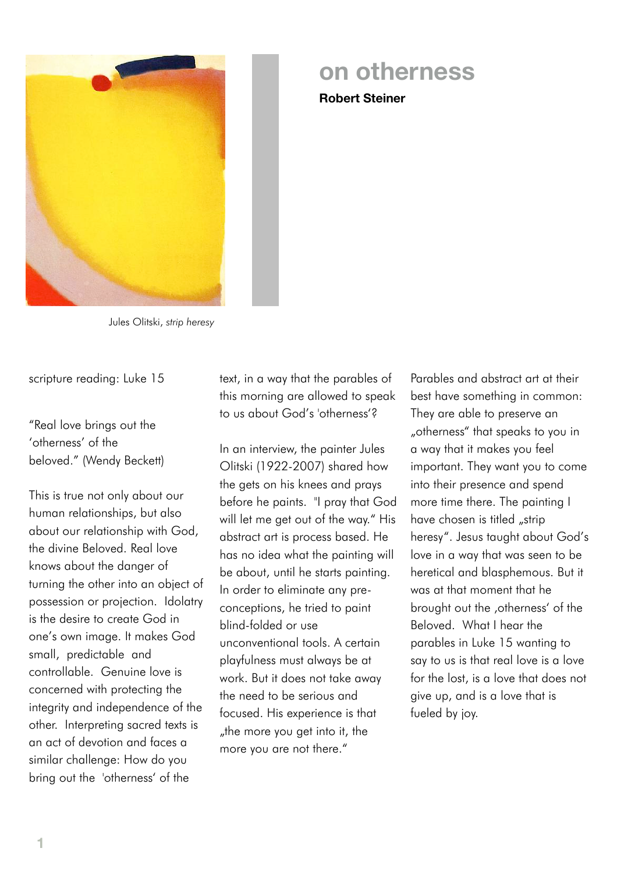

## **on otherness**

**Robert Steiner**

Jules Olitski, *strip heresy*

scripture reading: Luke 15

"Real love brings out the 'otherness' of the beloved." (Wendy Beckett)

This is true not only about our human relationships, but also about our relationship with God, the divine Beloved. Real love knows about the danger of turning the other into an object of possession or projection. Idolatry is the desire to create God in one's own image. It makes God small, predictable and controllable. Genuine love is concerned with protecting the integrity and independence of the other. Interpreting sacred texts is an act of devotion and faces a similar challenge: How do you bring out the 'otherness' of the

text, in a way that the parables of this morning are allowed to speak to us about God's 'otherness'?

In an interview, the painter Jules Olitski (1922-2007) shared how the gets on his knees and prays before he paints. "I pray that God will let me get out of the way." His abstract art is process based. He has no idea what the painting will be about, until he starts painting. In order to eliminate any preconceptions, he tried to paint blind-folded or use unconventional tools. A certain playfulness must always be at work. But it does not take away the need to be serious and focused. His experience is that "the more you get into it, the more you are not there."

Parables and abstract art at their best have something in common: They are able to preserve an "otherness" that speaks to you in a way that it makes you feel important. They want you to come into their presence and spend more time there. The painting I have chosen is titled "strip heresy". Jesus taught about God's love in a way that was seen to be heretical and blasphemous. But it was at that moment that he brought out the ,otherness' of the Beloved. What I hear the parables in Luke 15 wanting to say to us is that real love is a love for the lost, is a love that does not give up, and is a love that is fueled by joy.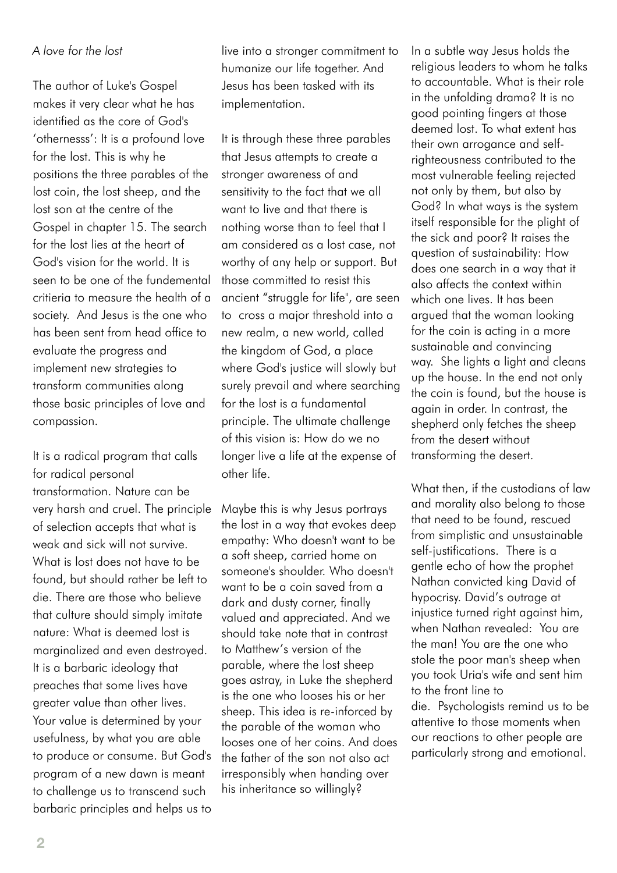## *A love for the lost*

The author of Luke's Gospel makes it very clear what he has identified as the core of God's 'othernesss': It is a profound love for the lost. This is why he positions the three parables of the lost coin, the lost sheep, and the lost son at the centre of the Gospel in chapter 15. The search for the lost lies at the heart of God's vision for the world. It is seen to be one of the fundemental critieria to measure the health of a society. And Jesus is the one who has been sent from head office to evaluate the progress and implement new strategies to transform communities along those basic principles of love and compassion.

It is a radical program that calls for radical personal transformation. Nature can be very harsh and cruel. The principle of selection accepts that what is weak and sick will not survive. What is lost does not have to be found, but should rather be left to die. There are those who believe that culture should simply imitate nature: What is deemed lost is marginalized and even destroyed. It is a barbaric ideology that preaches that some lives have greater value than other lives. Your value is determined by your usefulness, by what you are able to produce or consume. But God's program of a new dawn is meant to challenge us to transcend such barbaric principles and helps us to

live into a stronger commitment to humanize our life together. And Jesus has been tasked with its implementation.

It is through these three parables that Jesus attempts to create a stronger awareness of and sensitivity to the fact that we all want to live and that there is nothing worse than to feel that I am considered as a lost case, not worthy of any help or support. But those committed to resist this ancient "struggle for life", are seen to cross a major threshold into a new realm, a new world, called the kingdom of God, a place where God's justice will slowly but surely prevail and where searching for the lost is a fundamental principle. The ultimate challenge of this vision is: How do we no longer live a life at the expense of other life.

Maybe this is why Jesus portrays the lost in a way that evokes deep empathy: Who doesn't want to be a soft sheep, carried home on someone's shoulder. Who doesn't want to be a coin saved from a dark and dusty corner, finally valued and appreciated. And we should take note that in contrast to Matthew's version of the parable, where the lost sheep goes astray, in Luke the shepherd is the one who looses his or her sheep. This idea is re-inforced by the parable of the woman who looses one of her coins. And does the father of the son not also act irresponsibly when handing over his inheritance so willingly?

In a subtle way Jesus holds the religious leaders to whom he talks to accountable. What is their role in the unfolding drama? It is no good pointing fingers at those deemed lost. To what extent has their own arrogance and selfrighteousness contributed to the most vulnerable feeling rejected not only by them, but also by God? In what ways is the system itself responsible for the plight of the sick and poor? It raises the question of sustainability: How does one search in a way that it also affects the context within which one lives. It has been argued that the woman looking for the coin is acting in a more sustainable and convincing way. She lights a light and cleans up the house. In the end not only the coin is found, but the house is again in order. In contrast, the shepherd only fetches the sheep from the desert without transforming the desert.

What then, if the custodians of law and morality also belong to those that need to be found, rescued from simplistic and unsustainable self-justifications. There is a gentle echo of how the prophet Nathan convicted king David of hypocrisy. David's outrage at injustice turned right against him, when Nathan revealed: You are the man! You are the one who stole the poor man's sheep when you took Uria's wife and sent him to the front line to die. Psychologists remind us to be attentive to those moments when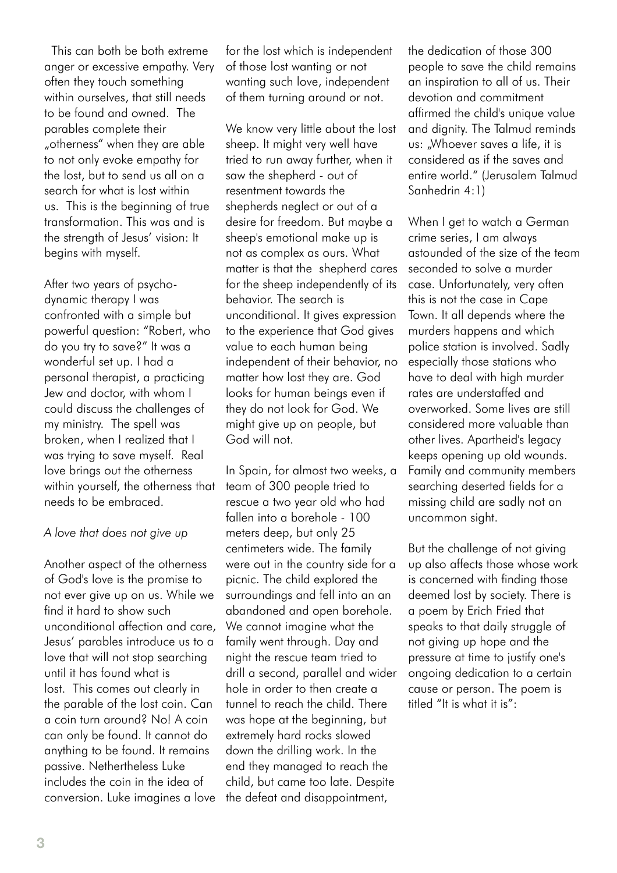This can both be both extreme anger or excessive empathy. Very often they touch something within ourselves, that still needs to be found and owned. The parables complete their "otherness" when they are able to not only evoke empathy for the lost, but to send us all on a search for what is lost within us. This is the beginning of true transformation. This was and is the strength of Jesus' vision: It begins with myself.

After two years of psychodynamic therapy I was confronted with a simple but powerful question: "Robert, who do you try to save?" It was a wonderful set up. I had a personal therapist, a practicing Jew and doctor, with whom I could discuss the challenges of my ministry. The spell was broken, when I realized that I was trying to save myself. Real love brings out the otherness within yourself, the otherness that needs to be embraced.

## *A love that does not give up*

Another aspect of the otherness of God's love is the promise to not ever give up on us. While we find it hard to show such unconditional affection and care, Jesus' parables introduce us to a love that will not stop searching until it has found what is lost. This comes out clearly in the parable of the lost coin. Can a coin turn around? No! A coin can only be found. It cannot do anything to be found. It remains passive. Nethertheless Luke includes the coin in the idea of conversion. Luke imagines a love

for the lost which is independent of those lost wanting or not wanting such love, independent of them turning around or not.

We know very little about the lost sheep. It might very well have tried to run away further, when it saw the shepherd - out of resentment towards the shepherds neglect or out of a desire for freedom. But maybe a sheep's emotional make up is not as complex as ours. What matter is that the shepherd cares for the sheep independently of its behavior. The search is unconditional. It gives expression to the experience that God gives value to each human being independent of their behavior, no matter how lost they are. God looks for human beings even if they do not look for God. We might give up on people, but God will not.

In Spain, for almost two weeks, a team of 300 people tried to rescue a two year old who had fallen into a borehole - 100 meters deep, but only 25 centimeters wide. The family were out in the country side for a picnic. The child explored the surroundings and fell into an an abandoned and open borehole. We cannot imagine what the family went through. Day and night the rescue team tried to drill a second, parallel and wider hole in order to then create a tunnel to reach the child. There was hope at the beginning, but extremely hard rocks slowed down the drilling work. In the end they managed to reach the child, but came too late. Despite the defeat and disappointment,

the dedication of those 300 people to save the child remains an inspiration to all of us. Their devotion and commitment affirmed the child's unique value and dignity. The Talmud reminds us: "Whoever saves a life, it is considered as if the saves and entire world." (Jerusalem Talmud Sanhedrin 4:1)

When I get to watch a German crime series, I am always astounded of the size of the team seconded to solve a murder case. Unfortunately, very often this is not the case in Cape Town. It all depends where the murders happens and which police station is involved. Sadly especially those stations who have to deal with high murder rates are understaffed and overworked. Some lives are still considered more valuable than other lives. Apartheid's legacy keeps opening up old wounds. Family and community members searching deserted fields for a missing child are sadly not an uncommon sight.

But the challenge of not giving up also affects those whose work is concerned with finding those deemed lost by society. There is a poem by Erich Fried that speaks to that daily struggle of not giving up hope and the pressure at time to justify one's ongoing dedication to a certain cause or person. The poem is titled "It is what it is":